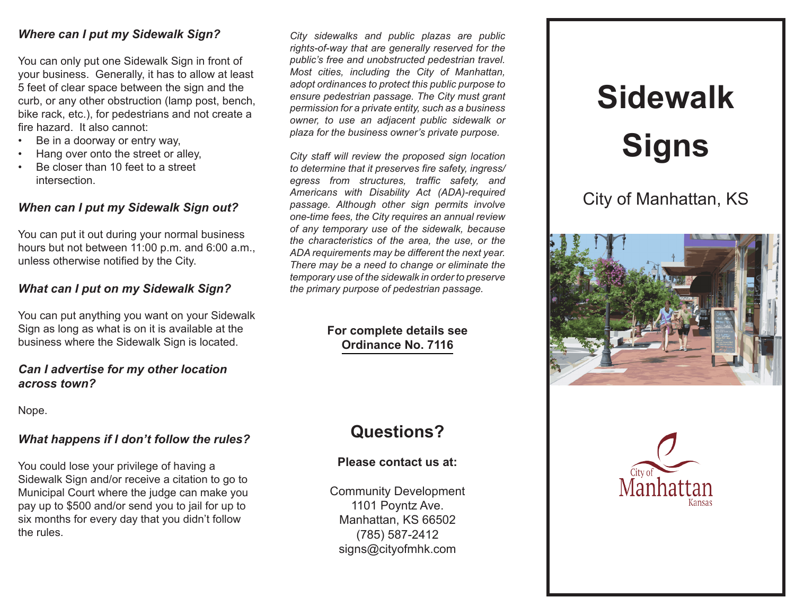#### *Where can I put my Sidewalk Sign?*

You can only put one Sidewalk Sign in front of your business. Generally, it has to allow at least 5 feet of clear space between the sign and the curb, or any other obstruction (lamp post, bench, bike rack, etc.), for pedestrians and not create a fire hazard. It also cannot:

- Be in a doorway or entry way,
- Hang over onto the street or alley,
- Be closer than 10 feet to a street intersection.

# *When can I put my Sidewalk Sign out?*

You can put it out during your normal business hours but not between 11:00 p.m. and 6:00 a.m., unless otherwise notified by the City.

# *What can I put on my Sidewalk Sign?*

You can put anything you want on your Sidewalk Sign as long as what is on it is available at the business where the Sidewalk Sign is located.

#### *Can I advertise for my other location across town?*

Nope.

# *What happens if I don't follow the rules?*

You could lose your privilege of having a Sidewalk Sign and/or receive a citation to go to Municipal Court where the judge can make you pay up to \$500 and/or send you to jail for up to six months for every day that you didn't follow the rules.

*City sidewalks and public plazas are public rights-of-way that are generally reserved for the public's free and unobstructed pedestrian travel. Most cities, including the City of Manhattan, adopt ordinances to protect this public purpose to ensure pedestrian passage. The City must grant permission for a private entity, such as a business owner, to use an adjacent public sidewalk or plaza for the business owner's private purpose.*

*City staff will review the proposed sign location to determine that it preserves fire safety, ingress/ egress from structures, traffic safety, and Americans with Disability Act (ADA)-required passage. Although other sign permits involve one-time fees, the City requires an annual review of any temporary use of the sidewalk, because the characteristics of the area, the use, or the ADA requirements may be different the next year. There may be a need to change or eliminate the temporary use of the sidewalk in order to preserve the primary purpose of pedestrian passage.*

# **For complete details see [Ordinance No. 7116](http://cityofmhk.com/DocumentCenter/View/28648)**

# **Questions?**

# **Please contact us at:**

Community Development 1101 Poyntz Ave. Manhattan, KS 66502 (785) 587-2412 signs@cityofmhk.com

# **Sidewalk Signs**

City of Manhattan, KS